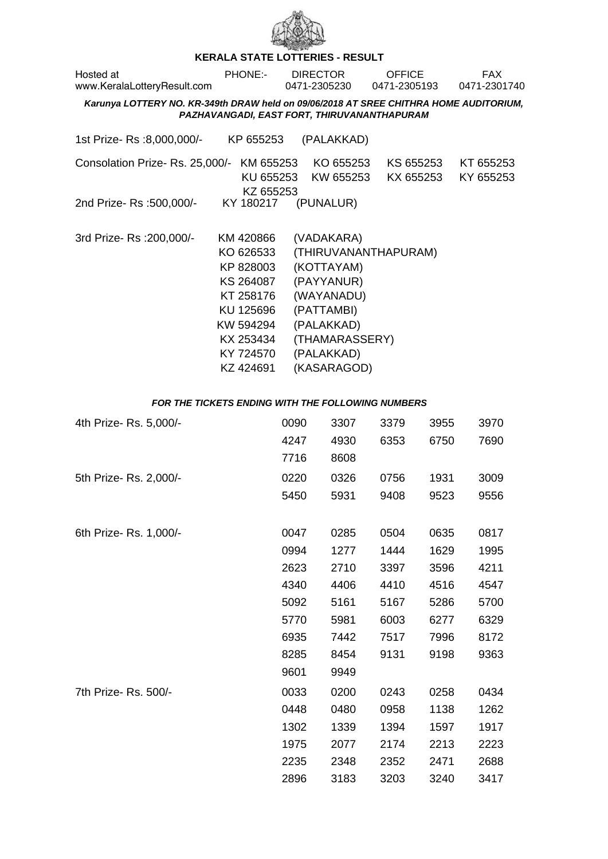

## **KERALA STATE LOTTERIES - RESULT**

| Hosted at<br>www.KeralaLotteryResult.com                                                                                             | <b>PHONE:-</b>                                                                                                                 | <b>DIRECTOR</b><br>0471-2305230                                                                                                 | <b>OFFICE</b><br>0471-2305193 | <b>FAX</b><br>0471-2301740 |  |  |  |  |  |  |
|--------------------------------------------------------------------------------------------------------------------------------------|--------------------------------------------------------------------------------------------------------------------------------|---------------------------------------------------------------------------------------------------------------------------------|-------------------------------|----------------------------|--|--|--|--|--|--|
| Karunya LOTTERY NO. KR-349th DRAW held on 09/06/2018 AT SREE CHITHRA HOME AUDITORIUM,<br>PAZHAVANGADI, EAST FORT, THIRUVANANTHAPURAM |                                                                                                                                |                                                                                                                                 |                               |                            |  |  |  |  |  |  |
| 1st Prize- Rs :8,000,000/-                                                                                                           | KP 655253                                                                                                                      | (PALAKKAD)                                                                                                                      |                               |                            |  |  |  |  |  |  |
| Consolation Prize-Rs. 25,000/-                                                                                                       | KM 655253<br>KU 655253<br>KZ 655253                                                                                            | KO 655253<br>KW 655253                                                                                                          | KS 655253<br>KX 655253        | KT 655253<br>KY 655253     |  |  |  |  |  |  |
| 2nd Prize- Rs :500,000/-                                                                                                             |                                                                                                                                | KY 180217 (PUNALUR)                                                                                                             |                               |                            |  |  |  |  |  |  |
| 3rd Prize-Rs : 200,000/-                                                                                                             | KM 420866<br>KO 626533<br>KP 828003<br>KS 264087<br>KT 258176<br>KU 125696<br>KW 594294<br>KX 253434<br>KY 724570<br>KZ 424691 | (VADAKARA)<br>(KOTTAYAM)<br>(PAYYANUR)<br>(WAYANADU)<br>(PATTAMBI)<br>(PALAKKAD)<br>(THAMARASSERY)<br>(PALAKKAD)<br>(KASARAGOD) | (THIRUVANANTHAPURAM)          |                            |  |  |  |  |  |  |

## **FOR THE TICKETS ENDING WITH THE FOLLOWING NUMBERS**

| 4th Prize-Rs. 5,000/-  | 0090 | 3307 | 3379 | 3955 | 3970 |
|------------------------|------|------|------|------|------|
|                        | 4247 | 4930 | 6353 | 6750 | 7690 |
|                        | 7716 | 8608 |      |      |      |
| 5th Prize- Rs. 2,000/- | 0220 | 0326 | 0756 | 1931 | 3009 |
|                        | 5450 | 5931 | 9408 | 9523 | 9556 |
|                        |      |      |      |      |      |
| 6th Prize- Rs. 1,000/- | 0047 | 0285 | 0504 | 0635 | 0817 |
|                        | 0994 | 1277 | 1444 | 1629 | 1995 |
|                        | 2623 | 2710 | 3397 | 3596 | 4211 |
|                        | 4340 | 4406 | 4410 | 4516 | 4547 |
|                        | 5092 | 5161 | 5167 | 5286 | 5700 |
|                        | 5770 | 5981 | 6003 | 6277 | 6329 |
|                        | 6935 | 7442 | 7517 | 7996 | 8172 |
|                        | 8285 | 8454 | 9131 | 9198 | 9363 |
|                        | 9601 | 9949 |      |      |      |
| 7th Prize- Rs. 500/-   | 0033 | 0200 | 0243 | 0258 | 0434 |
|                        | 0448 | 0480 | 0958 | 1138 | 1262 |
|                        | 1302 | 1339 | 1394 | 1597 | 1917 |
|                        | 1975 | 2077 | 2174 | 2213 | 2223 |
|                        | 2235 | 2348 | 2352 | 2471 | 2688 |
|                        | 2896 | 3183 | 3203 | 3240 | 3417 |